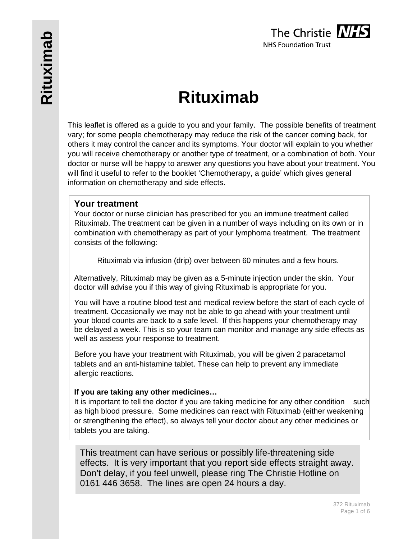# **Rituximab**

This leaflet is offered as a guide to you and your family. The possible benefits of treatment vary; for some people chemotherapy may reduce the risk of the cancer coming back, for others it may control the cancer and its symptoms. Your doctor will explain to you whether you will receive chemotherapy or another type of treatment, or a combination of both. Your doctor or nurse will be happy to answer any questions you have about your treatment. You will find it useful to refer to the booklet 'Chemotherapy, a guide' which gives general information on chemotherapy and side effects.

### **Your treatment**

Your doctor or nurse clinician has prescribed for you an immune treatment called Rituximab. The treatment can be given in a number of ways including on its own or in combination with chemotherapy as part of your lymphoma treatment. The treatment consists of the following:

Rituximab via infusion (drip) over between 60 minutes and a few hours.

Alternatively, Rituximab may be given as a 5-minute injection under the skin. Your doctor will advise you if this way of giving Rituximab is appropriate for you.

You will have a routine blood test and medical review before the start of each cycle of treatment. Occasionally we may not be able to go ahead with your treatment until your blood counts are back to a safe level. If this happens your chemotherapy may be delayed a week. This is so your team can monitor and manage any side effects as well as assess your response to treatment.

Before you have your treatment with Rituximab, you will be given 2 paracetamol tablets and an anti-histamine tablet. These can help to prevent any immediate allergic reactions.

#### **If you are taking any other medicines…**

It is important to tell the doctor if you are taking medicine for any other condition such as high blood pressure. Some medicines can react with Rituximab (either weakening or strengthening the effect), so always tell your doctor about any other medicines or tablets you are taking.

This treatment can have serious or possibly life-threatening side effects. It is very important that you report side effects straight away. Don't delay, if you feel unwell, please ring The Christie Hotline on 0161 446 3658. The lines are open 24 hours a day.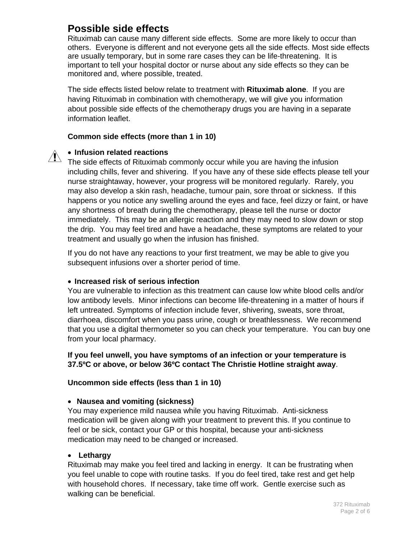# **Possible side effects**

Rituximab can cause many different side effects. Some are more likely to occur than others. Everyone is different and not everyone gets all the side effects. Most side effects are usually temporary, but in some rare cases they can be life-threatening. It is important to tell your hospital doctor or nurse about any side effects so they can be monitored and, where possible, treated.

The side effects listed below relate to treatment with **Rituximab alone**. If you are having Rituximab in combination with chemotherapy, we will give you information about possible side effects of the chemotherapy drugs you are having in a separate information leaflet.

#### **Common side effects (more than 1 in 10)**

#### **Infusion related reactions**

The side effects of Rituximab commonly occur while you are having the infusion including chills, fever and shivering. If you have any of these side effects please tell your nurse straightaway, however, your progress will be monitored regularly. Rarely, you may also develop a skin rash, headache, tumour pain, sore throat or sickness. If this happens or you notice any swelling around the eyes and face, feel dizzy or faint, or have any shortness of breath during the chemotherapy, please tell the nurse or doctor immediately. This may be an allergic reaction and they may need to slow down or stop the drip. You may feel tired and have a headache, these symptoms are related to your treatment and usually go when the infusion has finished.

If you do not have any reactions to your first treatment, we may be able to give you subsequent infusions over a shorter period of time.

#### **Increased risk of serious infection**

You are vulnerable to infection as this treatment can cause low white blood cells and/or low antibody levels. Minor infections can become life-threatening in a matter of hours if left untreated. Symptoms of infection include fever, shivering, sweats, sore throat, diarrhoea, discomfort when you pass urine, cough or breathlessness. We recommend that you use a digital thermometer so you can check your temperature. You can buy one from your local pharmacy.

#### **If you feel unwell, you have symptoms of an infection or your temperature is 37.5ºC or above, or below 36ºC contact The Christie Hotline straight away**.

#### **Uncommon side effects (less than 1 in 10)**

#### **Nausea and vomiting (sickness)**

You may experience mild nausea while you having Rituximab. Anti-sickness medication will be given along with your treatment to prevent this. If you continue to feel or be sick, contact your GP or this hospital, because your anti-sickness medication may need to be changed or increased.

#### **Lethargy**

Rituximab may make you feel tired and lacking in energy. It can be frustrating when you feel unable to cope with routine tasks. If you do feel tired, take rest and get help with household chores. If necessary, take time off work. Gentle exercise such as walking can be beneficial.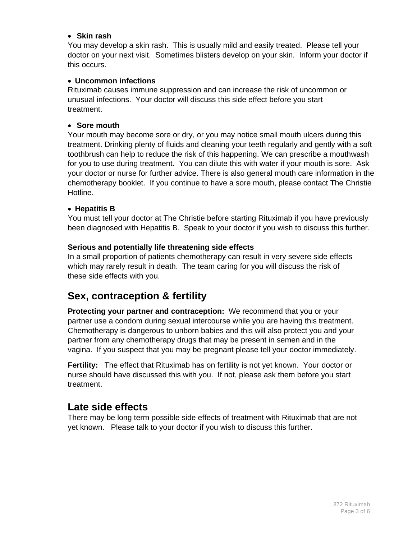#### **Skin rash**

You may develop a skin rash. This is usually mild and easily treated. Please tell your doctor on your next visit. Sometimes blisters develop on your skin. Inform your doctor if this occurs.

#### **Uncommon infections**

Rituximab causes immune suppression and can increase the risk of uncommon or unusual infections. Your doctor will discuss this side effect before you start treatment.

#### **Sore mouth**

Your mouth may become sore or dry, or you may notice small mouth ulcers during this treatment. Drinking plenty of fluids and cleaning your teeth regularly and gently with a soft toothbrush can help to reduce the risk of this happening. We can prescribe a mouthwash for you to use during treatment. You can dilute this with water if your mouth is sore. Ask your doctor or nurse for further advice. There is also general mouth care information in the chemotherapy booklet. If you continue to have a sore mouth, please contact The Christie Hotline.

#### **Hepatitis B**

You must tell your doctor at The Christie before starting Rituximab if you have previously been diagnosed with Hepatitis B. Speak to your doctor if you wish to discuss this further.

#### **Serious and potentially life threatening side effects**

In a small proportion of patients chemotherapy can result in very severe side effects which may rarely result in death. The team caring for you will discuss the risk of these side effects with you.

## **Sex, contraception & fertility**

**Protecting your partner and contraception:** We recommend that you or your partner use a condom during sexual intercourse while you are having this treatment. Chemotherapy is dangerous to unborn babies and this will also protect you and your partner from any chemotherapy drugs that may be present in semen and in the vagina. If you suspect that you may be pregnant please tell your doctor immediately.

**Fertility:** The effect that Rituximab has on fertility is not yet known. Your doctor or nurse should have discussed this with you. If not, please ask them before you start treatment.

## **Late side effects**

There may be long term possible side effects of treatment with Rituximab that are not yet known. Please talk to your doctor if you wish to discuss this further.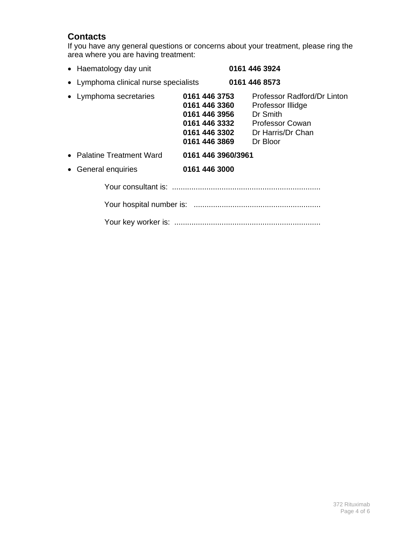## **Contacts**

If you have any general questions or concerns about your treatment, please ring the area where you are having treatment:

| • Haematology day unit                |                                                                                                    | 0161 446 3924                                                                                                           |
|---------------------------------------|----------------------------------------------------------------------------------------------------|-------------------------------------------------------------------------------------------------------------------------|
| • Lymphoma clinical nurse specialists |                                                                                                    | 0161 446 8573                                                                                                           |
| • Lymphoma secretaries                | 0161 446 3753<br>0161 446 3360<br>0161 446 3956<br>0161 446 3332<br>0161 446 3302<br>0161 446 3869 | Professor Radford/Dr Linton<br>Professor Illidge<br>Dr Smith<br><b>Professor Cowan</b><br>Dr Harris/Dr Chan<br>Dr Bloor |
| • Palatine Treatment Ward             | 0161 446 3960/3961                                                                                 |                                                                                                                         |
| General enquiries<br>$\bullet$        | 0161 446 3000                                                                                      |                                                                                                                         |
|                                       |                                                                                                    |                                                                                                                         |
|                                       |                                                                                                    |                                                                                                                         |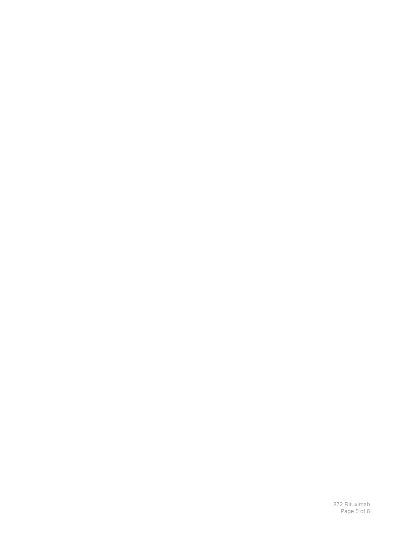372 Rituximab Page 5 of 6